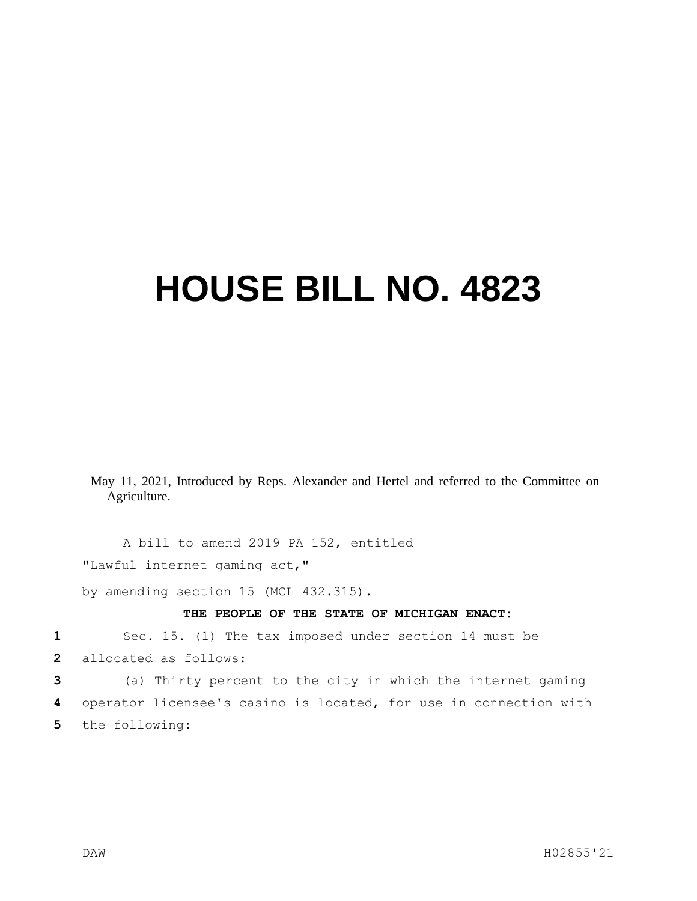## **HOUSE BILL NO. 4823**

May 11, 2021, Introduced by Reps. Alexander and Hertel and referred to the Committee on Agriculture.

A bill to amend 2019 PA 152, entitled "Lawful internet gaming act,"

by amending section 15 (MCL 432.315).

## **THE PEOPLE OF THE STATE OF MICHIGAN ENACT:**

**1** Sec. 15. (1) The tax imposed under section 14 must be

**2** allocated as follows:

**3** (a) Thirty percent to the city in which the internet gaming **4** operator licensee's casino is located, for use in connection with **5** the following: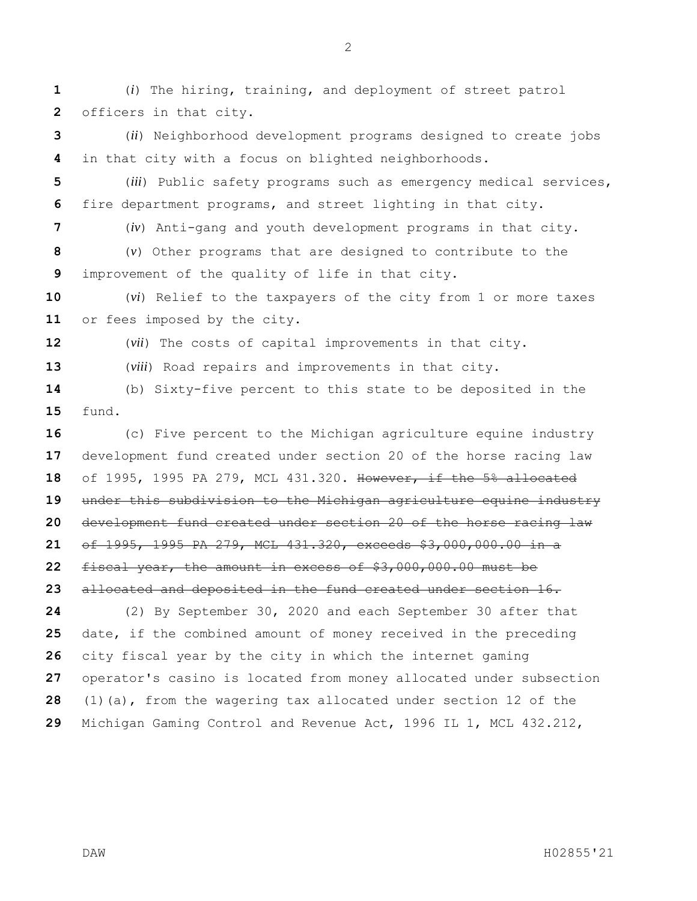(*i*) The hiring, training, and deployment of street patrol officers in that city.

 (*ii*) Neighborhood development programs designed to create jobs in that city with a focus on blighted neighborhoods.

 (*iii*) Public safety programs such as emergency medical services, fire department programs, and street lighting in that city.

 (*iv*) Anti-gang and youth development programs in that city. (*v*) Other programs that are designed to contribute to the improvement of the quality of life in that city.

 (*vi*) Relief to the taxpayers of the city from 1 or more taxes or fees imposed by the city.

(*vii*) The costs of capital improvements in that city.

(*viii*) Road repairs and improvements in that city.

 (b) Sixty-five percent to this state to be deposited in the fund.

 (c) Five percent to the Michigan agriculture equine industry development fund created under section 20 of the horse racing law of 1995, 1995 PA 279, MCL 431.320. However, if the 5% allocated under this subdivision to the Michigan agriculture equine industry development fund created under section 20 of the horse racing law of 1995, 1995 PA 279, MCL 431.320, exceeds \$3,000,000.00 in a fiscal year, the amount in excess of \$3,000,000.00 must be allocated and deposited in the fund created under section 16. (2) By September 30, 2020 and each September 30 after that date, if the combined amount of money received in the preceding city fiscal year by the city in which the internet gaming operator's casino is located from money allocated under subsection (1)(a), from the wagering tax allocated under section 12 of the Michigan Gaming Control and Revenue Act, 1996 IL 1, MCL 432.212,